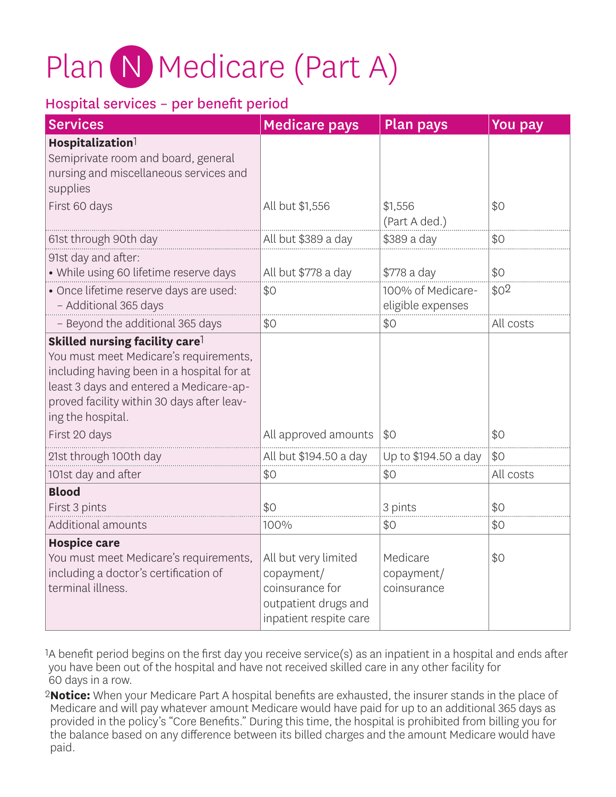# Plan N Medicare (Part A)

#### Hospital services – per benefit period

| <b>Services</b>                                                                                                                                                                                                                                                   | <b>Medicare pays</b>                                                                                    | <b>Plan pays</b>                       | <b>You pay</b>   |
|-------------------------------------------------------------------------------------------------------------------------------------------------------------------------------------------------------------------------------------------------------------------|---------------------------------------------------------------------------------------------------------|----------------------------------------|------------------|
| Hospitalization <sup>1</sup><br>Semiprivate room and board, general<br>nursing and miscellaneous services and<br>supplies                                                                                                                                         |                                                                                                         |                                        |                  |
| First 60 days                                                                                                                                                                                                                                                     | All but \$1,556                                                                                         | \$1,556<br>(Part A ded.)               | \$0              |
| 61st through 90th day                                                                                                                                                                                                                                             | All but \$389 a day                                                                                     | \$389 a day                            | \$0              |
| 91st day and after:<br>· While using 60 lifetime reserve days                                                                                                                                                                                                     | All but \$778 a day                                                                                     | \$778 a day                            | \$0              |
| · Once lifetime reserve days are used:<br>- Additional 365 days                                                                                                                                                                                                   | \$0                                                                                                     | 100% of Medicare-<br>eligible expenses | \$0 <sup>2</sup> |
| - Beyond the additional 365 days                                                                                                                                                                                                                                  | \$0                                                                                                     | \$0                                    | All costs        |
| Skilled nursing facility care <sup>1</sup><br>You must meet Medicare's requirements,<br>including having been in a hospital for at<br>least 3 days and entered a Medicare-ap-<br>proved facility within 30 days after leav-<br>ing the hospital.<br>First 20 days | All approved amounts                                                                                    | \$0                                    | \$0              |
| 21st through 100th day                                                                                                                                                                                                                                            | All but \$194.50 a day                                                                                  | Up to \$194.50 a day                   | \$0              |
| 101st day and after                                                                                                                                                                                                                                               | \$0                                                                                                     | \$0                                    | All costs        |
| <b>Blood</b><br>First 3 pints<br>Additional amounts                                                                                                                                                                                                               | \$0<br>100%                                                                                             | 3 pints<br>\$0                         | \$0<br>\$0       |
| <b>Hospice care</b>                                                                                                                                                                                                                                               |                                                                                                         |                                        |                  |
| You must meet Medicare's requirements,<br>including a doctor's certification of<br>terminal illness.                                                                                                                                                              | All but very limited<br>copayment/<br>coinsurance for<br>outpatient drugs and<br>inpatient respite care | Medicare<br>copayment/<br>coinsurance  | \$0              |

1A benefit period begins on the first day you receive service(s) as an inpatient in a hospital and ends after you have been out of the hospital and have not received skilled care in any other facility for 60 days in a row.

2 **Notice:** When your Medicare Part A hospital benefits are exhausted, the insurer stands in the place of Medicare and will pay whatever amount Medicare would have paid for up to an additional 365 days as provided in the policy's "Core Benefits." During this time, the hospital is prohibited from billing you for the balance based on any difference between its billed charges and the amount Medicare would have paid.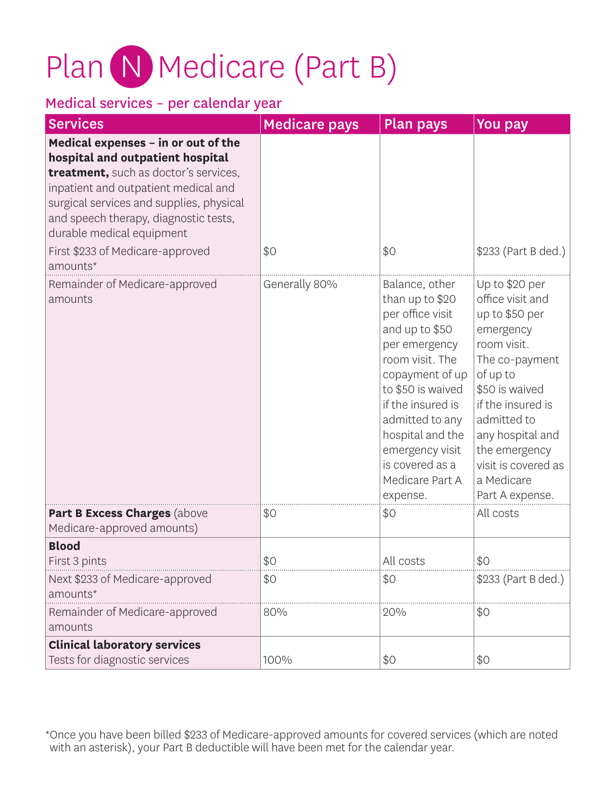# Plan N Medicare (Part B)

### Medical services – per calendar year

| <b>Services</b>                                                                                                                                                                                                                                                                                                            | <b>Medicare pays</b> | <b>Plan pays</b>                                                                                                                                                                                                                                                                     | You pay                                                                                                                                                                                                                                                           |
|----------------------------------------------------------------------------------------------------------------------------------------------------------------------------------------------------------------------------------------------------------------------------------------------------------------------------|----------------------|--------------------------------------------------------------------------------------------------------------------------------------------------------------------------------------------------------------------------------------------------------------------------------------|-------------------------------------------------------------------------------------------------------------------------------------------------------------------------------------------------------------------------------------------------------------------|
| Medical expenses - in or out of the<br>hospital and outpatient hospital<br>treatment, such as doctor's services,<br>inpatient and outpatient medical and<br>surgical services and supplies, physical<br>and speech therapy, diagnostic tests,<br>durable medical equipment<br>First \$233 of Medicare-approved<br>amounts* | \$0                  | \$0                                                                                                                                                                                                                                                                                  | \$233 (Part B ded.)                                                                                                                                                                                                                                               |
| Remainder of Medicare-approved<br>amounts                                                                                                                                                                                                                                                                                  | Generally 80%        | Balance, other<br>than up to \$20<br>per office visit<br>and up to \$50<br>per emergency<br>room visit. The<br>copayment of up<br>to \$50 is waived<br>if the insured is<br>admitted to any<br>hospital and the<br>emergency visit<br>is covered as a<br>Medicare Part A<br>expense. | Up to \$20 per<br>office visit and<br>up to \$50 per<br>emergency<br>room visit.<br>The co-payment<br>of up to<br>\$50 is waived<br>if the insured is<br>admitted to<br>any hospital and<br>the emergency<br>visit is covered as<br>a Medicare<br>Part A expense. |
| Part B Excess Charges (above<br>Medicare-approved amounts)                                                                                                                                                                                                                                                                 | \$0                  | \$0                                                                                                                                                                                                                                                                                  | All costs                                                                                                                                                                                                                                                         |
| <b>Blood</b><br>First 3 pints                                                                                                                                                                                                                                                                                              | \$0                  | All costs                                                                                                                                                                                                                                                                            | \$0                                                                                                                                                                                                                                                               |
| Next \$233 of Medicare-approved<br>amounts*                                                                                                                                                                                                                                                                                | \$0                  | \$0                                                                                                                                                                                                                                                                                  | \$233 (Part B ded.)                                                                                                                                                                                                                                               |
| Remainder of Medicare-approved<br>amounts                                                                                                                                                                                                                                                                                  | 80%                  | 20%                                                                                                                                                                                                                                                                                  | \$0                                                                                                                                                                                                                                                               |
| <b>Clinical laboratory services</b><br>Tests for diagnostic services                                                                                                                                                                                                                                                       | 100%                 | \$0                                                                                                                                                                                                                                                                                  | \$0                                                                                                                                                                                                                                                               |

\* Once you have been billed \$233 of Medicare-approved amounts for covered services (which are noted with an asterisk), your Part B deductible will have been met for the calendar year.